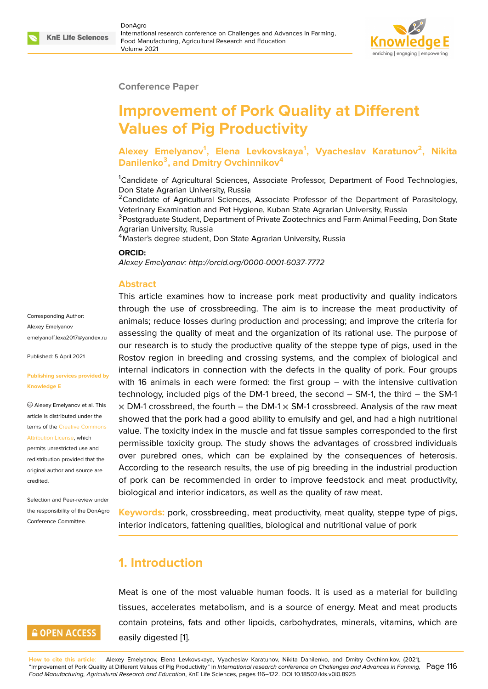

#### **Conference Paper**

# **Improvement of Pork Quality at Different Values of Pig Productivity**

**Alexey Emelyanov<sup>1</sup> , Elena Levkovskaya<sup>1</sup> , Vyacheslav Karatunov<sup>2</sup> , Nikita Danilenko<sup>3</sup> , and Dmitry Ovchinnikov<sup>4</sup>**

<sup>1</sup>Candidate of Agricultural Sciences, Associate Professor, Department of Food Technologies, Don State Agrarian University, Russia

<sup>2</sup>Candidate of Agricultural Sciences, Associate Professor of the Department of Parasitology, Veterinary Examination and Pet Hygiene, Kuban State Agrarian University, Russia

<sup>3</sup>Postgraduate Student, Department of Private Zootechnics and Farm Animal Feeding, Don State Agrarian University, Russia

<sup>4</sup> Master's degree student, Don State Agrarian University, Russia

#### **ORCID:**

*Alexey Emelyanov: http://orcid.org/0000-0001-6037-7772*

#### **Abstract**

Corresponding Author: Alexey Emelyanov emelyanoff.lexa2017@yandex.ru

Published: 5 April 2021

#### **[Publishing services provided by](mailto:emelyanoff.lexa2017@yandex.ru) Knowledge E**

Alexey Emelyanov et al. This article is distributed under the terms of the Creative Commons Attribution License, which

permits unrestricted use and redistribution provided that the original auth[or and source are](https://creativecommons.org/licenses/by/4.0/) [credited.](https://creativecommons.org/licenses/by/4.0/)

Selection and Peer-review under the responsibility of the DonAgro Conference Committee.

## **GOPEN ACCESS**

This article examines how to increase pork meat productivity and quality indicators through the use of crossbreeding. The aim is to increase the meat productivity of animals; reduce losses during production and processing; and improve the criteria for assessing the quality of meat and the organization of its rational use. The purpose of our research is to study the productive quality of the steppe type of pigs, used in the Rostov region in breeding and crossing systems, and the complex of biological and internal indicators in connection with the defects in the quality of pork. Four groups with 16 animals in each were formed: the first group – with the intensive cultivation technology, included pigs of the DM-1 breed, the second – SM-1, the third – the SM-1  $\times$  DM-1 crossbreed, the fourth – the DM-1  $\times$  SM-1 crossbreed. Analysis of the raw meat showed that the pork had a good ability to emulsify and gel, and had a high nutritional value. The toxicity index in the muscle and fat tissue samples corresponded to the first permissible toxicity group. The study shows the advantages of crossbred individuals over purebred ones, which can be explained by the consequences of heterosis. According to the research results, the use of pig breeding in the industrial production of pork can be recommended in order to improve feedstock and meat productivity, biological and interior indicators, as well as the quality of raw meat.

**Keywords:** pork, crossbreeding, meat productivity, meat quality, steppe type of pigs, interior indicators, fattening qualities, biological and nutritional value of pork

### **1. Introduction**

Meat is one of the most valuable human foods. It is used as a material for building tissues, accelerates metabolism, and is a source of energy. Meat and meat products contain proteins, fats and other lipoids, carbohydrates, minerals, vitamins, which are easily digested [1].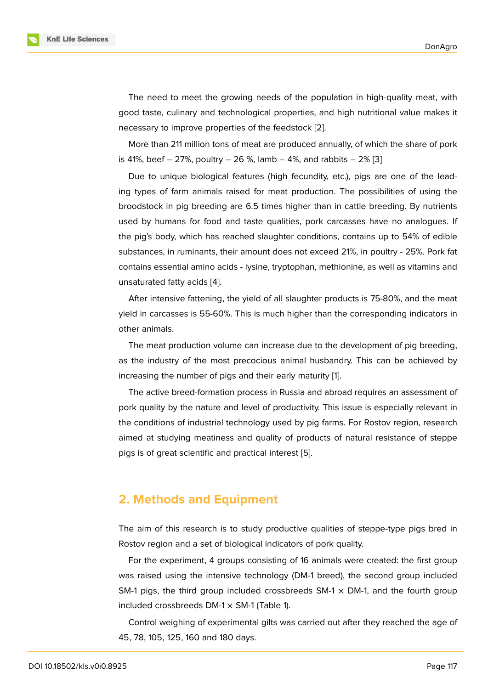The need to meet the growing needs of the population in high-quality meat, with good taste, culinary and technological properties, and high nutritional value makes it necessary to improve properties of the feedstock [2].

More than 211 million tons of meat are produced annually, of which the share of pork is 41%, beef – 27%, poultry – 26 %, lamb – 4%, and rabbits – 2% [3]

Due to unique biological features (high fecun[dit](#page-5-1)y, etc.), pigs are one of the leading types of farm animals raised for meat production. The possibilities of using the broodstock in pig breeding are 6.5 times higher than in cattle b[re](#page-5-2)eding. By nutrients used by humans for food and taste qualities, pork carcasses have no analogues. If the pig's body, which has reached slaughter conditions, contains up to 54% of edible substances, in ruminants, their amount does not exceed 21%, in poultry - 25%. Pork fat contains essential amino acids - lysine, tryptophan, methionine, as well as vitamins and unsaturated fatty acids [4].

After intensive fattening, the yield of all slaughter products is 75-80%, and the meat yield in carcasses is 55-60%. This is much higher than the corresponding indicators in other animals.

The meat production volume can increase due to the development of pig breeding, as the industry of the most precocious animal husbandry. This can be achieved by increasing the number of pigs and their early maturity [1].

The active breed-formation process in Russia and abroad requires an assessment of pork quality by the nature and level of productivity. This issue is especially relevant in the conditions of industrial technology used by pig far[m](#page-5-0)s. For Rostov region, research aimed at studying meatiness and quality of products of natural resistance of steppe pigs is of great scientific and practical interest [5].

### **2. Methods and Equipment**

The aim of this research is to study productive qualities of steppe-type pigs bred in Rostov region and a set of biological indicators of pork quality.

For the experiment, 4 groups consisting of 16 animals were created: the first group was raised using the intensive technology (DM-1 breed), the second group included SM-1 pigs, the third group included crossbreeds  $SM-1 \times DM-1$ , and the fourth group included crossbreeds DM-1  $\times$  SM-1 (Table 1).

Control weighing of experimental gilts was carried out after they reached the age of 45, 78, 105, 125, 160 and 180 days.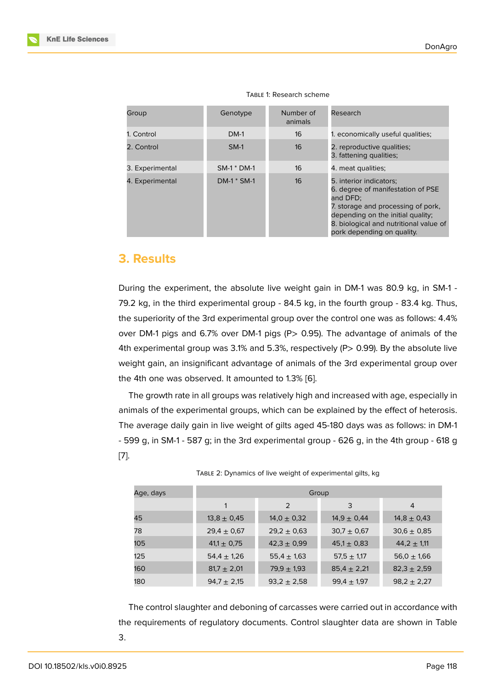| Group           | Genotype      | Number of<br>animals | Research                                                                                                                                                                                                                    |
|-----------------|---------------|----------------------|-----------------------------------------------------------------------------------------------------------------------------------------------------------------------------------------------------------------------------|
| 1. Control      | $DM-1$        | 16                   | 1. economically useful qualities;                                                                                                                                                                                           |
| 2. Control      | $SM-1$        | 16                   | 2. reproductive qualities;<br>3. fattening qualities;                                                                                                                                                                       |
| 3. Experimental | SM-1 * DM-1   | 16                   | 4. meat qualities;                                                                                                                                                                                                          |
| 4. Experimental | $DM-1$ * SM-1 | 16                   | 5. interior indicators;<br>6. degree of manifestation of PSE<br>and DFD:<br>7. storage and processing of pork,<br>depending on the initial quality;<br>8. biological and nutritional value of<br>pork depending on quality. |

#### TABLE 1: Research scheme

### **3. Results**

During the experiment, the absolute live weight gain in DM-1 was 80.9 kg, in SM-1 - 79.2 kg, in the third experimental group - 84.5 kg, in the fourth group - 83.4 kg. Thus, the superiority of the 3rd experimental group over the control one was as follows: 4.4% over DM-1 pigs and 6.7% over DM-1 pigs (P> 0.95). The advantage of animals of the 4th experimental group was 3.1% and 5.3%, respectively (P> 0.99). By the absolute live weight gain, an insignificant advantage of animals of the 3rd experimental group over the 4th one was observed. It amounted to 1.3% [6].

The growth rate in all groups was relatively high and increased with age, especially in animals of the experimental groups, which can be explained by the effect of heterosis. The average daily gain in live weight of gilts ag[ed](#page-5-3) 45-180 days was as follows: in DM-1 - 599 g, in SM-1 - 587 g; in the 3rd experimental group - 626 g, in the 4th group - 618 g [7].

| Age, days | Group           |                 |                 |                 |
|-----------|-----------------|-----------------|-----------------|-----------------|
|           | 1               | $\mathcal{P}$   | 3               | 4               |
| 45        | $13,8 \pm 0,45$ | $14,0 \pm 0,32$ | $14,9 \pm 0,44$ | $14,8 \pm 0,43$ |
| 78        | $29.4 \pm 0.67$ | $29.2 \pm 0.63$ | $30,7 \pm 0,67$ | $30,6 \pm 0,85$ |
| 105       | $41.1 \pm 0.75$ | $42,3 \pm 0,99$ | $45,1 \pm 0,83$ | $44,2 \pm 1,11$ |
| 125       | $54,4 \pm 1,26$ | $55,4 \pm 1,63$ | $57.5 \pm 1.17$ | $56,0 \pm 1,66$ |
| 160       | $81.7 \pm 2.01$ | $79.9 \pm 1.93$ | $85,4 \pm 2,21$ | $82,3 \pm 2,59$ |
| 180       | $94.7 \pm 2.15$ | $93,2 \pm 2,58$ | $99,4 \pm 1,97$ | $98,2 \pm 2,27$ |

TABLE 2: Dynamics of live weight of experimental gilts, kg

The control slaughter and deboning of carcasses were carried out in accordance with the requirements of regulatory documents. Control slaughter data are shown in Table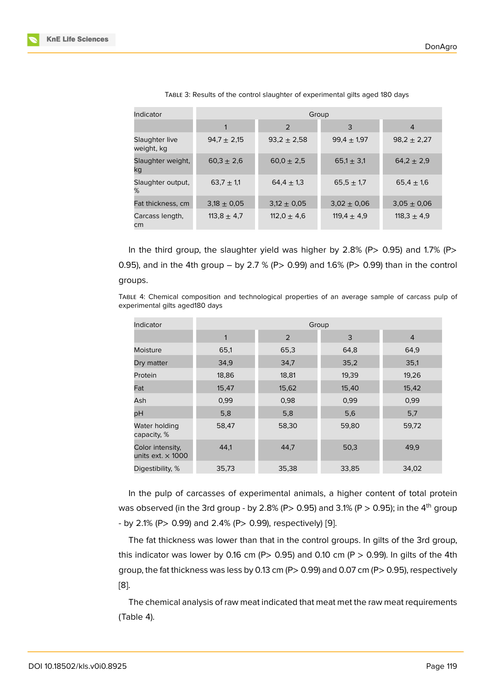| Indicator                    | Group           |                 |                 |                 |
|------------------------------|-----------------|-----------------|-----------------|-----------------|
|                              |                 | 2               | 3               | $\overline{4}$  |
| Slaughter live<br>weight, kg | $94.7 \pm 2.15$ | $93.2 \pm 2.58$ | $99.4 \pm 1.97$ | $98.2 \pm 2.27$ |
| Slaughter weight,<br>kg      | $60.3 \pm 2.6$  | $60.0 \pm 2.5$  | $65.1 \pm 3.1$  | $64.2 \pm 2.9$  |
| Slaughter output,<br>%       | 63,7 $\pm$ 1,1  | $64.4 \pm 1.3$  | $65.5 \pm 1.7$  | $65.4 \pm 1.6$  |
| Fat thickness, cm            | $3.18 \pm 0.05$ | $3.12 \pm 0.05$ | $3.02 \pm 0.06$ | $3.05 \pm 0.06$ |
| Carcass length,<br>cm        | 113,8 $\pm$ 4,7 | 112,0 $\pm$ 4,6 | 119,4 $\pm$ 4,9 | 118,3 $\pm$ 4,9 |

TABLE 3: Results of the control slaughter of experimental gilts aged 180 days

In the third group, the slaughter yield was higher by  $2.8\%$  (P $> 0.95$ ) and 1.7% (P $>$ 0.95), and in the 4th group – by 2.7 % (P> 0.99) and 1.6% (P> 0.99) than in the control groups.

TABLE 4: Chemical composition and technological properties of an average sample of carcass pulp of experimental gilts aged180 days

| Indicator                                    | Group |       |       |                |
|----------------------------------------------|-------|-------|-------|----------------|
|                                              | 1     | 2     | 3     | $\overline{4}$ |
| Moisture                                     | 65,1  | 65,3  | 64,8  | 64,9           |
| Dry matter                                   | 34,9  | 34,7  | 35,2  | 35,1           |
| Protein                                      | 18,86 | 18,81 | 19,39 | 19,26          |
| Fat                                          | 15,47 | 15,62 | 15,40 | 15,42          |
| Ash                                          | 0,99  | 0,98  | 0,99  | 0,99           |
| pH                                           | 5,8   | 5,8   | 5,6   | 5,7            |
| Water holding<br>capacity, %                 | 58,47 | 58,30 | 59,80 | 59,72          |
| Color intensity,<br>units ext. $\times$ 1000 | 44,1  | 44,7  | 50,3  | 49,9           |
| Digestibility, %                             | 35,73 | 35,38 | 33,85 | 34,02          |

In the pulp of carcasses of experimental animals, a higher content of total protein was observed (in the 3rd group - by 2.8% (P> 0.95) and 3.1% (P > 0.95); in the 4<sup>th</sup> group - by 2.1% (P> 0.99) and 2.4% (P> 0.99), respectively) [9].

The fat thickness was lower than that in the control groups. In gilts of the 3rd group, this indicator was lower by 0.16 cm (P> 0.95) and 0.10 cm (P > 0.99). In gilts of the 4th group, the fat thickness was less by 0.13 cm (P> 0.99) a[nd](#page-6-0) 0.07 cm (P> 0.95), respectively [8].

The chemical analysis of raw meat indicated that meat met the raw meat requirements ([Ta](#page-6-1)ble 4).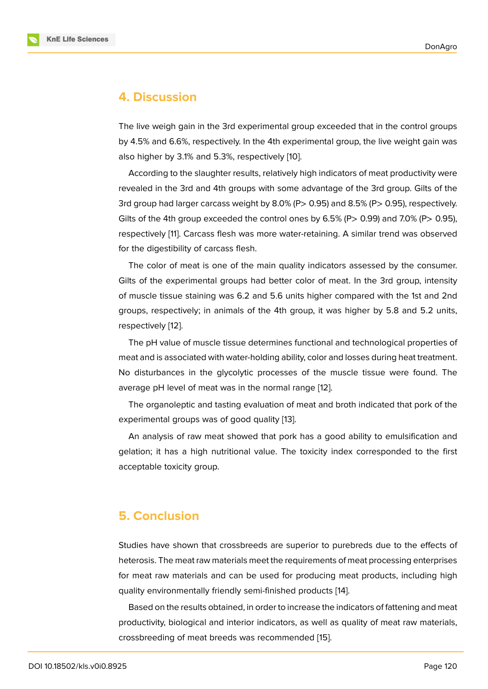### **4. Discussion**

The live weigh gain in the 3rd experimental group exceeded that in the control groups by 4.5% and 6.6%, respectively. In the 4th experimental group, the live weight gain was also higher by 3.1% and 5.3%, respectively [10].

According to the slaughter results, relatively high indicators of meat productivity were revealed in the 3rd and 4th groups with some advantage of the 3rd group. Gilts of the 3rd group had larger carcass weight by 8.0[% \(P](#page-6-2)> 0.95) and 8.5% (P> 0.95), respectively. Gilts of the 4th group exceeded the control ones by 6.5% (P $>$  0.99) and 7.0% (P $>$  0.95), respectively [11]. Carcass flesh was more water-retaining. A similar trend was observed for the digestibility of carcass flesh.

The color of meat is one of the main quality indicators assessed by the consumer. Gilts of the [exp](#page-6-3)erimental groups had better color of meat. In the 3rd group, intensity of muscle tissue staining was 6.2 and 5.6 units higher compared with the 1st and 2nd groups, respectively; in animals of the 4th group, it was higher by 5.8 and 5.2 units, respectively [12].

The pH value of muscle tissue determines functional and technological properties of meat and is associated with water-holding ability, color and losses during heat treatment. No disturba[nce](#page-6-4)s in the glycolytic processes of the muscle tissue were found. The average pH level of meat was in the normal range [12].

The organoleptic and tasting evaluation of meat and broth indicated that pork of the experimental groups was of good quality [13].

An analysis of raw meat showed that pork has [a g](#page-6-4)ood ability to emulsification and gelation; it has a high nutritional value. The toxicity index corresponded to the first acceptable toxicity group.

### **5. Conclusion**

Studies have shown that crossbreeds are superior to purebreds due to the effects of heterosis. The meat raw materials meet the requirements of meat processing enterprises for meat raw materials and can be used for producing meat products, including high quality environmentally friendly semi-finished products [14].

Based on the results obtained, in order to increase the indicators of fattening and meat productivity, biological and interior indicators, as well as quality of meat raw materials, crossbreeding of meat breeds was recommended [15].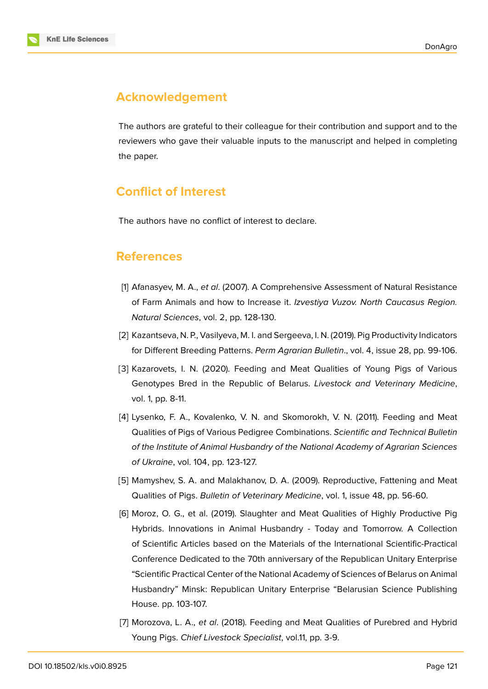

# **Acknowledgement**

The authors are grateful to their colleague for their contribution and support and to the reviewers who gave their valuable inputs to the manuscript and helped in completing the paper.

# **Conflict of Interest**

The authors have no conflict of interest to declare.

## **References**

- <span id="page-5-0"></span>[1] Afanasyev, M. A., *et al*. (2007). A Comprehensive Assessment of Natural Resistance of Farm Animals and how to Increase it. *Izvestiya Vuzov. North Caucasus Region. Natural Sciences*, vol. 2, pp. 128-130.
- <span id="page-5-1"></span>[2] Kazantseva, N. P., Vasilyeva, M. I. and Sergeeva, I. N. (2019). Pig Productivity Indicators for Different Breeding Patterns. *Perm Agrarian Bulletin*., vol. 4, issue 28, pp. 99-106.
- <span id="page-5-2"></span>[3] Kazarovets, I. N. (2020). Feeding and Meat Qualities of Young Pigs of Various Genotypes Bred in the Republic of Belarus. *Livestock and Veterinary Medicine*, vol. 1, pp. 8-11.
- [4] Lysenko, F. A., Kovalenko, V. N. and Skomorokh, V. N. (2011). Feeding and Meat Qualities of Pigs of Various Pedigree Combinations. *Scientific and Technical Bulletin of the Institute of Animal Husbandry of the National Academy of Agrarian Sciences of Ukraine*, vol. 104, pp. 123-127.
- [5] Mamyshev, S. A. and Malakhanov, D. A. (2009). Reproductive, Fattening and Meat Qualities of Pigs. *Bulletin of Veterinary Medicine*, vol. 1, issue 48, pp. 56-60.
- <span id="page-5-3"></span>[6] Moroz, O. G., et al. (2019). Slaughter and Meat Qualities of Highly Productive Pig Hybrids. Innovations in Animal Husbandry - Today and Tomorrow. A Collection of Scientific Articles based on the Materials of the International Scientific-Practical Conference Dedicated to the 70th anniversary of the Republican Unitary Enterprise "Scientific Practical Center of the National Academy of Sciences of Belarus on Animal Husbandry" Minsk: Republican Unitary Enterprise "Belarusian Science Publishing House. pp. 103-107.
- [7] Morozova, L. A., *et al*. (2018). Feeding and Meat Qualities of Purebred and Hybrid Young Pigs. *Chief Livestock Specialist*, vol.11, pp. 3-9.